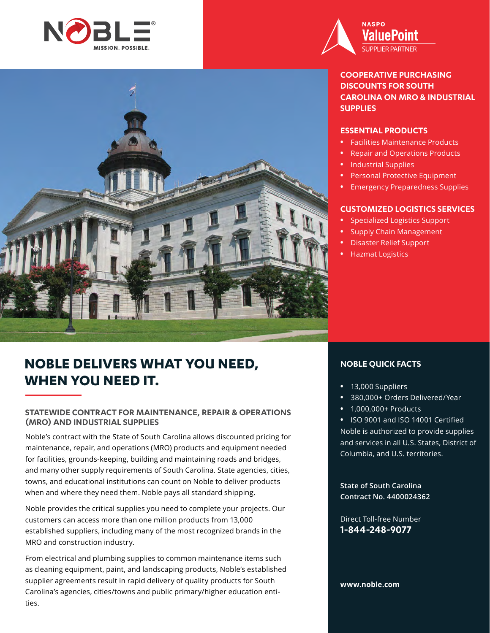



#### **COOPERATIVE PURCHASING DISCOUNTS FOR SOUTH CAROLINA ON MRO & INDUSTRIAL SUPPLIES**

#### **ESSENTIAL PRODUCTS**

- **•** Facilities Maintenance Products
- **•** Repair and Operations Products
- **•** Industrial Supplies
- **•** Personal Protective Equipment
- **•** Emergency Preparedness Supplies

#### **CUSTOMIZED LOGISTICS SERVICES**

- **•** Specialized Logistics Support
- **•** Supply Chain Management
- **•** Disaster Relief Support
- **•** Hazmat Logistics

# **NOBLE DELIVERS WHAT YOU NEED, WHEN YOU NEED IT.**

#### **STATEWIDE CONTRACT FOR MAINTENANCE, REPAIR & OPERATIONS (MRO) AND INDUSTRIAL SUPPLIES**

Noble's contract with the State of South Carolina allows discounted pricing for maintenance, repair, and operations (MRO) products and equipment needed for facilities, grounds-keeping, building and maintaining roads and bridges, and many other supply requirements of South Carolina. State agencies, cities, towns, and educational institutions can count on Noble to deliver products when and where they need them. Noble pays all standard shipping.

Noble provides the critical supplies you need to complete your projects. Our customers can access more than one million products from 13,000 established suppliers, including many of the most recognized brands in the MRO and construction industry.

From electrical and plumbing supplies to common maintenance items such as cleaning equipment, paint, and landscaping products, Noble's established supplier agreements result in rapid delivery of quality products for South Carolina's agencies, cities/towns and public primary/higher education entities.

#### **NOBLE QUICK FACTS**

- **•** 13,000 Suppliers
- **•** 380,000+ Orders Delivered/Year
- **•** 1,000,000+ Products

**•** ISO 9001 and ISO 14001 Certified Noble is authorized to provide supplies and services in all U.S. States, District of Columbia, and U.S. territories.

**State of South Carolina Contract No. 4400024362**

Direct Toll-free Number **1-844-248-9077**

**www.noble.com**